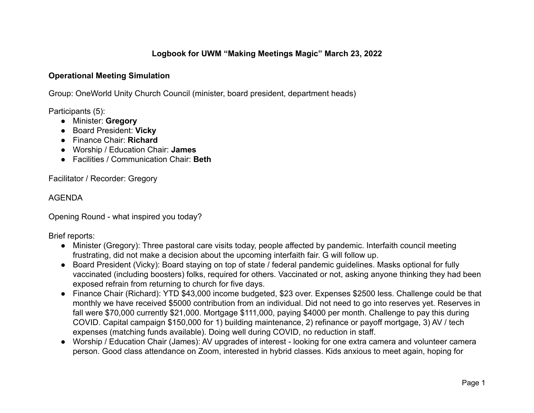## **Logbook for UWM "Making Meetings Magic" March 23, 2022**

## **Operational Meeting Simulation**

Group: OneWorld Unity Church Council (minister, board president, department heads)

Participants (5):

- Minister: **Gregory**
- Board President: **Vicky**
- Finance Chair: **Richard**
- Worship / Education Chair: **James**
- Facilities / Communication Chair: **Beth**

Facilitator / Recorder: Gregory

## AGENDA

Opening Round - what inspired you today?

Brief reports:

- Minister (Gregory): Three pastoral care visits today, people affected by pandemic. Interfaith council meeting frustrating, did not make a decision about the upcoming interfaith fair. G will follow up.
- Board President (Vicky): Board staying on top of state / federal pandemic guidelines. Masks optional for fully vaccinated (including boosters) folks, required for others. Vaccinated or not, asking anyone thinking they had been exposed refrain from returning to church for five days.
- Finance Chair (Richard): YTD \$43,000 income budgeted, \$23 over. Expenses \$2500 less. Challenge could be that monthly we have received \$5000 contribution from an individual. Did not need to go into reserves yet. Reserves in fall were \$70,000 currently \$21,000. Mortgage \$111,000, paying \$4000 per month. Challenge to pay this during COVID. Capital campaign \$150,000 for 1) building maintenance, 2) refinance or payoff mortgage, 3) AV / tech expenses (matching funds available). Doing well during COVID, no reduction in staff.
- Worship / Education Chair (James): AV upgrades of interest looking for one extra camera and volunteer camera person. Good class attendance on Zoom, interested in hybrid classes. Kids anxious to meet again, hoping for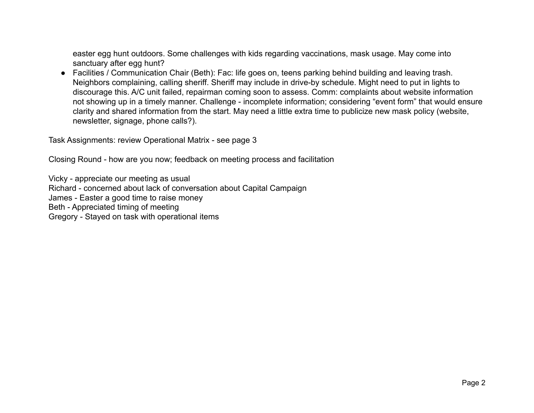easter egg hunt outdoors. Some challenges with kids regarding vaccinations, mask usage. May come into sanctuary after egg hunt?

● Facilities / Communication Chair (Beth): Fac: life goes on, teens parking behind building and leaving trash. Neighbors complaining, calling sheriff. Sheriff may include in drive-by schedule. Might need to put in lights to discourage this. A/C unit failed, repairman coming soon to assess. Comm: complaints about website information not showing up in a timely manner. Challenge - incomplete information; considering "event form" that would ensure clarity and shared information from the start. May need a little extra time to publicize new mask policy (website, newsletter, signage, phone calls?).

Task Assignments: review Operational Matrix - see page 3

Closing Round - how are you now; feedback on meeting process and facilitation

Vicky - appreciate our meeting as usual Richard - concerned about lack of conversation about Capital Campaign James - Easter a good time to raise money Beth - Appreciated timing of meeting Gregory - Stayed on task with operational items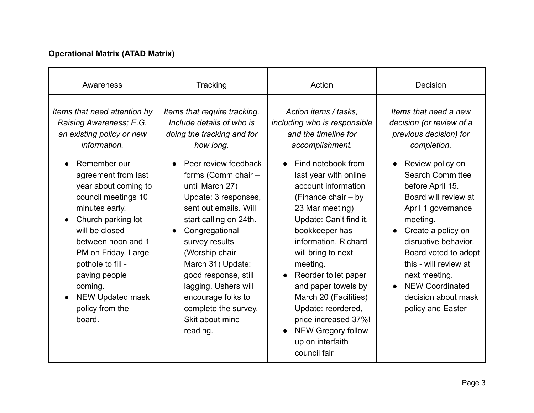## **Operational Matrix (ATAD Matrix)**

| Awareness                                                                                                                                                                                                                                                                                          | Tracking                                                                                                                                                                                                                                                                                                                                                                      | Action                                                                                                                                                                                                                                                                                                                                                                                                    | Decision                                                                                                                                                                                                                                                                                                        |
|----------------------------------------------------------------------------------------------------------------------------------------------------------------------------------------------------------------------------------------------------------------------------------------------------|-------------------------------------------------------------------------------------------------------------------------------------------------------------------------------------------------------------------------------------------------------------------------------------------------------------------------------------------------------------------------------|-----------------------------------------------------------------------------------------------------------------------------------------------------------------------------------------------------------------------------------------------------------------------------------------------------------------------------------------------------------------------------------------------------------|-----------------------------------------------------------------------------------------------------------------------------------------------------------------------------------------------------------------------------------------------------------------------------------------------------------------|
| Items that need attention by<br>Raising Awareness; E.G.<br>an existing policy or new<br>information.                                                                                                                                                                                               | Items that require tracking.<br>Include details of who is<br>doing the tracking and for<br>how long.                                                                                                                                                                                                                                                                          | Action items / tasks,<br>including who is responsible<br>and the timeline for<br>accomplishment.                                                                                                                                                                                                                                                                                                          | Items that need a new<br>decision (or review of a<br>previous decision) for<br>completion.                                                                                                                                                                                                                      |
| Remember our<br>agreement from last<br>year about coming to<br>council meetings 10<br>minutes early.<br>Church parking lot<br>will be closed<br>between noon and 1<br>PM on Friday. Large<br>pothole to fill -<br>paving people<br>coming.<br><b>NEW Updated mask</b><br>policy from the<br>board. | Peer review feedback<br>$\bullet$<br>forms (Comm chair -<br>until March 27)<br>Update: 3 responses,<br>sent out emails. Will<br>start calling on 24th.<br>Congregational<br>$\bullet$<br>survey results<br>(Worship chair -<br>March 31) Update:<br>good response, still<br>lagging. Ushers will<br>encourage folks to<br>complete the survey.<br>Skit about mind<br>reading. | Find notebook from<br>last year with online<br>account information<br>(Finance chair – by<br>23 Mar meeting)<br>Update: Can't find it,<br>bookkeeper has<br>information. Richard<br>will bring to next<br>meeting.<br>Reorder toilet paper<br>and paper towels by<br>March 20 (Facilities)<br>Update: reordered,<br>price increased 37%!<br><b>NEW Gregory follow</b><br>up on interfaith<br>council fair | Review policy on<br><b>Search Committee</b><br>before April 15.<br>Board will review at<br>April 1 governance<br>meeting.<br>Create a policy on<br>disruptive behavior.<br>Board voted to adopt<br>this - will review at<br>next meeting.<br><b>NEW Coordinated</b><br>decision about mask<br>policy and Easter |